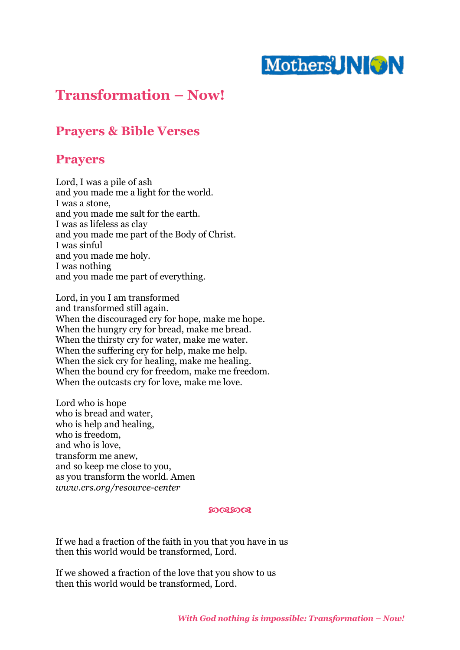# Mothers NON

# **Transformation – Now!**

# **Prayers & Bible Verses**

## **Prayers**

Lord, I was a pile of ash and you made me a light for the world. I was a stone, and you made me salt for the earth. I was as lifeless as clay and you made me part of the Body of Christ. I was sinful and you made me holy. I was nothing and you made me part of everything.

Lord, in you I am transformed and transformed still again. When the discouraged cry for hope, make me hope. When the hungry cry for bread, make me bread. When the thirsty cry for water, make me water. When the suffering cry for help, make me help. When the sick cry for healing, make me healing. When the bound cry for freedom, make me freedom. When the outcasts cry for love, make me love.

Lord who is hope who is bread and water, who is help and healing, who is freedom, and who is love, transform me anew, and so keep me close to you, as you transform the world. Amen *www.crs.org/resource-center*

#### ෨෬෨෬

If we had a fraction of the faith in you that you have in us then this world would be transformed, Lord.

If we showed a fraction of the love that you show to us then this world would be transformed, Lord.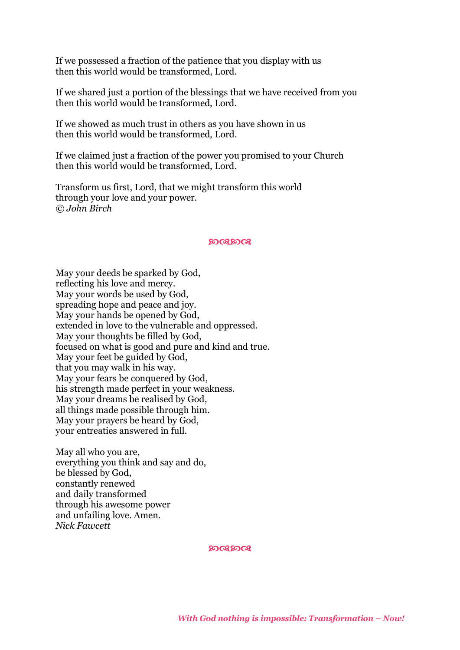If we possessed a fraction of the patience that you display with us then this world would be transformed, Lord.

If we shared just a portion of the blessings that we have received from you then this world would be transformed, Lord.

If we showed as much trust in others as you have shown in us then this world would be transformed, Lord.

If we claimed just a fraction of the power you promised to your Church then this world would be transformed, Lord.

Transform us first, Lord, that we might transform this world through your love and your power. *© John Birch*

#### ෨෬෨෬

May your deeds be sparked by God, reflecting his love and mercy. May your words be used by God, spreading hope and peace and joy. May your hands be opened by God, extended in love to the vulnerable and oppressed. May your thoughts be filled by God, focused on what is good and pure and kind and true. May your feet be guided by God, that you may walk in his way. May your fears be conquered by God, his strength made perfect in your weakness. May your dreams be realised by God, all things made possible through him. May your prayers be heard by God, your entreaties answered in full.

May all who you are, everything you think and say and do, be blessed by God, constantly renewed and daily transformed through his awesome power and unfailing love. Amen. *Nick Fawcett*

෨෬෨෬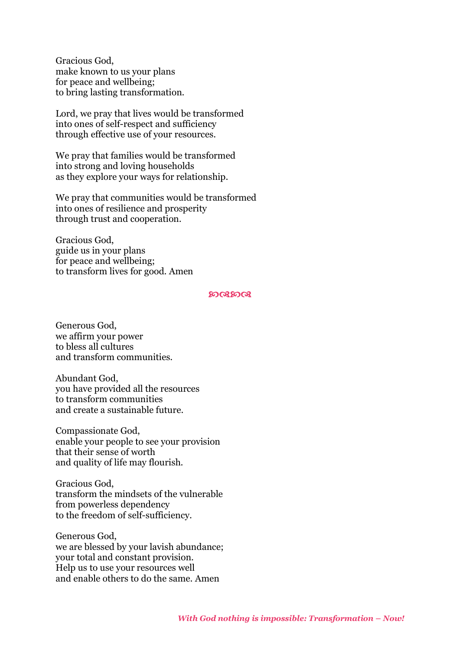Gracious God, make known to us your plans for peace and wellbeing; to bring lasting transformation.

Lord, we pray that lives would be transformed into ones of self-respect and sufficiency through effective use of your resources.

We pray that families would be transformed into strong and loving households as they explore your ways for relationship.

We pray that communities would be transformed into ones of resilience and prosperity through trust and cooperation.

Gracious God, guide us in your plans for peace and wellbeing; to transform lives for good. Amen

#### ෨෬෨෬

Generous God, we affirm your power to bless all cultures and transform communities.

Abundant God, you have provided all the resources to transform communities and create a sustainable future.

Compassionate God, enable your people to see your provision that their sense of worth and quality of life may flourish.

Gracious God, transform the mindsets of the vulnerable from powerless dependency to the freedom of self-sufficiency.

Generous God, we are blessed by your lavish abundance; your total and constant provision. Help us to use your resources well and enable others to do the same. Amen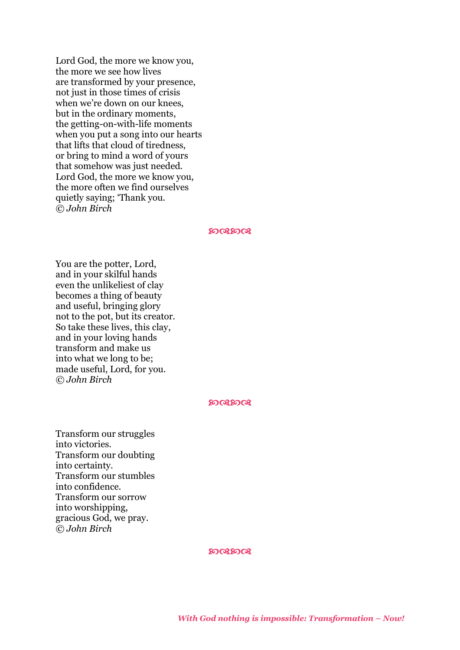Lord God, the more we know you, the more we see how lives are transformed by your presence, not just in those times of crisis when we're down on our knees, but in the ordinary moments, the getting-on-with-life moments when you put a song into our hearts that lifts that cloud of tiredness, or bring to mind a word of yours that somehow was just needed. Lord God, the more we know you, the more often we find ourselves quietly saying; 'Thank you. *© John Birch*

#### **LOGLOGI**

You are the potter, Lord, and in your skilful hands even the unlikeliest of clay becomes a thing of beauty and useful, bringing glory not to the pot, but its creator. So take these lives, this clay, and in your loving hands transform and make us into what we long to be; made useful, Lord, for you. *© John Birch*

#### ෨෬෨෬

Transform our struggles into victories. Transform our doubting into certainty. Transform our stumbles into confidence. Transform our sorrow into worshipping, gracious God, we pray. *© John Birch*

#### **LOGLOGI**